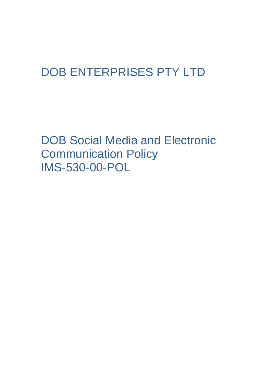# DOB ENTERPRISES PTY LTD

DOB Social Media and Electronic Communication Policy IMS-530-00-POL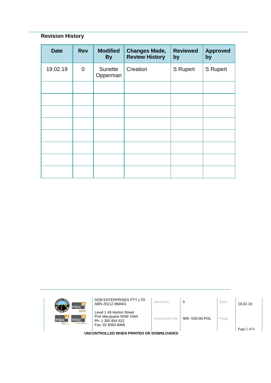# **Revision History**

| <b>Date</b> | <b>Rev</b>     | <b>Modified</b><br><b>By</b> | <b>Changes Made,</b><br><b>Review History</b> | <b>Reviewed</b><br>by | <b>Approved</b><br>by |
|-------------|----------------|------------------------------|-----------------------------------------------|-----------------------|-----------------------|
| 19.02.19    | $\overline{0}$ | Sunette<br>Opperman          | Creation                                      | S Rupert              | <b>S</b> Rupert       |
|             |                |                              |                                               |                       |                       |
|             |                |                              |                                               |                       |                       |
|             |                |                              |                                               |                       |                       |
|             |                |                              |                                               |                       |                       |
|             |                |                              |                                               |                       |                       |
|             |                |                              |                                               |                       |                       |
|             |                |                              |                                               |                       |                       |
|             |                |                              |                                               |                       |                       |

| mbc <sup>-</sup>                                                        | DOB ENTERPRISES PTY LTD<br>ABN 20112 866001                                                   | Revision    | $\Omega$        | Date | 19.02.19 |  |
|-------------------------------------------------------------------------|-----------------------------------------------------------------------------------------------|-------------|-----------------|------|----------|--|
| <b>Icloour hire</b><br>mbc`<br>Imbc<br>m <sub>k</sub><br>sursing agency | Level 1 49 Horton Street<br>Port Macquarie NSW 2444<br>Ph: 1 300 854 622<br>Fax: 02 6583 8468 | Document No | IMS -530-00-POL | Page |          |  |
| Page 2 of 6<br>UNCONTROLLED WHEN PRINTED OR DOWNLOADED                  |                                                                                               |             |                 |      |          |  |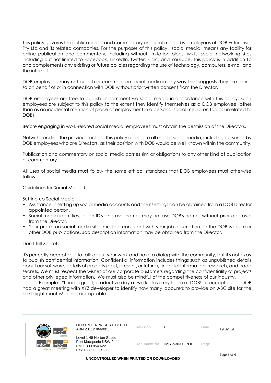This policy governs the publication of and commentary on social media by employees of DOB Enterprises Pty Ltd and its related companies. For the purposes of this policy, 'social media' means any facility for online publication and commentary, including without limitation blogs, wiki's, social networking sites including but not limited to Facebook, LinkedIn, Twitter, Flickr, and YouTube. This policy is in addition to and complements any existing or future policies regarding the use of technology, computers, e-mail and the internet.

DOB employees may not publish or comment on social media in any way that suggests they are doing so on behalf of or in connection with DOB without prior written consent from the Director.

DOB employees are free to publish or comment via social media in accordance with this policy. Such employees are subject to this policy to the extent they identify themselves as a DOB employee (other than as an incidental mention of place of employment in a personal social media on topics unrelated to DOB).

Before engaging in work-related social media, employees must obtain the permission of the Directors.

Notwithstanding the previous section, this policy applies to all uses of social media, including personal, by DOB employees who are Directors, as their position with DOB would be well known within the community.

Publication and commentary on social media carries similar obligations to any other kind of publication or commentary.

All uses of social media must follow the same ethical standards that DOB employees must otherwise follow.

Guidelines for Social Media Use

Setting up Social Media

- Assistance in setting up social media accounts and their settings can be obtained from a DOB Director appointed person.
- Social media identities, logon ID's and user names may not use DOB's names without prior approval from the Director.
- Your profile on social media sites must be consistent with your job description on the DOB website or other DOB publications. Job description information may be obtained from the Director.

#### Don't Tell Secrets

It's perfectly acceptable to talk about your work and have a dialog with the community, but it's not okay to publish confidential information. Confidential information includes things such as unpublished details about our software, details of projects (past, present, or future), financial information, research, and trade secrets. We must respect the wishes of our corporate customers regarding the confidentiality of projects and other privileged information. We must also be mindful of the competitiveness of our industry.

Example: "I had a great, productive day at work – love my team at DOB!" is acceptable. "DOB had a great meeting with XYZ developer to identify how many labourers to provide on ABC site for the next eight months!" is not acceptable.

| mbc`                                                          | DOB ENTERPRISES PTY LTD<br>ABN 20112 866001                                                   | Revision    | 0               | Date | 19.02.19    |  |
|---------------------------------------------------------------|-----------------------------------------------------------------------------------------------|-------------|-----------------|------|-------------|--|
| <b>Iclocur hire</b><br>mbc<br>mbc`<br>imte.<br>sursing agency | Level 1 49 Horton Street<br>Port Macquarie NSW 2444<br>Ph: 1 300 854 622<br>Fax: 02 6583 8468 | Document No | IMS -530-00-POL | Page | Page 3 of 6 |  |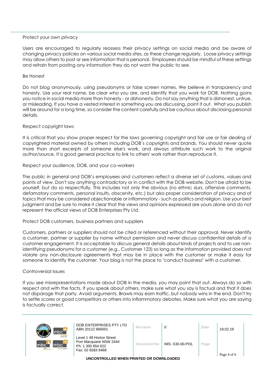# Protect your own privacy

Users are encouraged to regularly reassess their privacy settings on social media and be aware of changing privacy policies on various social media sites, as these change regularly. Loose privacy settings may allow others to post or see information that is personal. Employees should be mindful of these settings and refrain from posting any information they do not want the public to see.

#### Be Honest

Do not blog anonymously, using pseudonyms or false screen names. We believe in transparency and honesty. Use your real name, be clear who you are, and identify that you work for DOB. Nothing gains you notice in social media more than honesty - or dishonesty. Do not say anything that is dishonest, untrue, or misleading. If you have a vested interest in something you are discussing, point it out. What you publish will be around for a long time, so consider the content carefully and be cautious about disclosing personal details.

#### Respect copyright laws

It is critical that you show proper respect for the laws governing copyright and fair use or fair dealing of copyrighted material owned by others including DOB's copyrights and brands. You should never quote more than short excerpts of someone else's work, and always attribute such work to the original author/source. It is good general practice to link to others' work rather than reproduce it.

#### Respect your audience, DOB, and your co-workers

The public in general and DOB's employees and customers reflect a diverse set of customs, values and points of view. Don't say anything contradictory or in conflict with the DOB website. Don't be afraid to be yourself, but do so respectfully. This includes not only the obvious (no ethnic slurs, offensive comments, defamatory comments, personal insults, obscenity, etc.) but also proper consideration of privacy and of topics that may be considered objectionable or inflammatory - such as politics and religion. Use your best judgment and be sure to make it clear that the views and opinions expressed are yours alone and do not represent the official views of DOB Enterprises Pty Ltd.

#### Protect DOB customers, business partners and suppliers

Customers, partners or suppliers should not be cited or referenced without their approval. Never identify a customer, partner or supplier by name without permission and never discuss confidential details of a customer engagement. It is acceptable to discuss general details about kinds of projects and to use nonidentifying pseudonyms for a customer (e.g., Customer 123) so long as the information provided does not violate any non-disclosure agreements that may be in place with the customer or make it easy for someone to identify the customer. Your blog is not the place to "conduct business" with a customer.

#### Controversial Issues

If you see misrepresentations made about DOB in the media, you may point that out. Always do so with respect and with the facts. If you speak about others, make sure what you say is factual and that it does not disparage that party. Avoid arguments. Brawls may earn traffic, but nobody wins in the end. Don't try to settle scores or goad competitors or others into inflammatory debates. Make sure what you are saying is factually correct.

| mbc <sup>-</sup>                                            | DOB ENTERPRISES PTY LTD<br>ABN 20112 866001                                                   | Revision    |                 | Date | 19.02.19    |  |
|-------------------------------------------------------------|-----------------------------------------------------------------------------------------------|-------------|-----------------|------|-------------|--|
| <b>Icloour hine</b><br>mbc<br>mbc`<br>mte<br>nursing agency | Level 1 49 Horton Street<br>Port Macquarie NSW 2444<br>Ph: 1 300 854 622<br>Fax: 02 6583 8468 | Document No | IMS -530-00-POL | Page | Page 4 of 6 |  |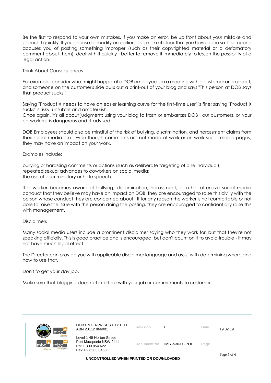Be the first to respond to your own mistakes. If you make an error, be up front about your mistake and correct it quickly. If you choose to modify an earlier post, make it clear that you have done so. If someone accuses you of posting something improper (such as their copyrighted material or a defamatory comment about them), deal with it quickly - better to remove it immediately to lessen the possibility of a legal action.

# Think About Consequences

For example, consider what might happen if a DOB employee is in a meeting with a customer or prospect, and someone on the customer's side pulls out a print-out of your blog and says "This person at DOB says that product sucks."

Saying "Product X needs to have an easier learning curve for the first-time user" is fine; saying "Product X sucks" is risky, unsubtle and amateurish.

Once again, it's all about judgment: using your blog to trash or embarrass DOB , our customers, or your co-workers, is dangerous and ill-advised.

DOB Employees should also be mindful of the risk of bullying, discrimination, and harassment claims from their social media use. Even though comments are not made at work or on work social media pages, they may have an impact on your work.

# Examples include:

bullying or harassing comments or actions (such as deliberate targeting of one individual); repeated sexual advances to coworkers on social media; the use of discriminatory or hate speech.

If a worker becomes aware of bullying, discrimination, harassment, or other offensive social media conduct that they believe may have an impact on DOB, they are encouraged to raise this civilly with the person whose conduct they are concerned about. If for any reason the worker is not comfortable or not able to raise the issue with the person doing the posting, they are encouraged to confidentially raise this with management.

# Disclaimers

Many social media users include a prominent disclaimer saying who they work for, but that they're not speaking officially. This is good practice and is encouraged, but don't count on it to avoid trouble - it may not have much legal effect.

The Director can provide you with applicable disclaimer language and assist with determining where and how to use that.

Don't forget your day job.

Make sure that blogging does not interfere with your job or commitments to customers.

| mbc`                                                                | DOB ENTERPRISES PTY LTD<br>ABN 20112 866001                                                   | Revision    |                 | Date | 19.02.19    |  |
|---------------------------------------------------------------------|-----------------------------------------------------------------------------------------------|-------------|-----------------|------|-------------|--|
| <b>Icloour hire</b><br>mbc<br>mbc`<br>mtc.<br><b>TUrsing agency</b> | Level 1 49 Horton Street<br>Port Macquarie NSW 2444<br>Ph: 1 300 854 622<br>Fax: 02 6583 8468 | Document No | IMS -530-00-POL | Page | Page 5 of 6 |  |